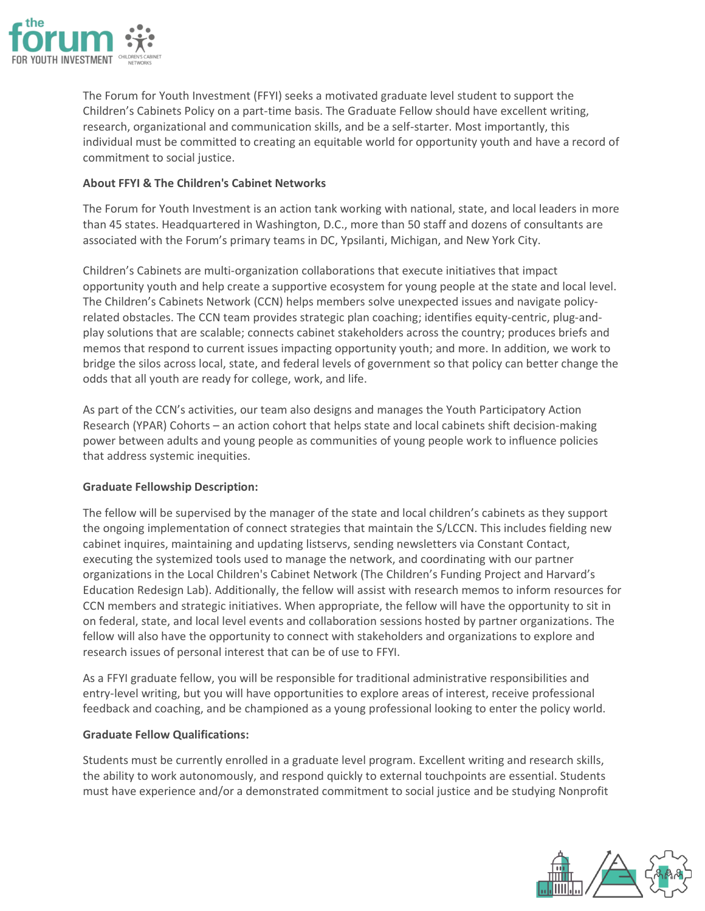

The Forum for Youth Investment (FFYI) seeks a motivated graduate level student to support the Children's Cabinets Policy on a part-time basis. The Graduate Fellow should have excellent writing, research, organizational and communication skills, and be a self-starter. Most importantly, this individual must be committed to creating an equitable world for opportunity youth and have a record of commitment to social justice.

# **About FFYI & The Children's Cabinet Networks**

The Forum for Youth Investment is an action tank working with national, state, and local leaders in more than 45 states. Headquartered in Washington, D.C., more than 50 staff and dozens of consultants are associated with the Forum's primary teams in DC, Ypsilanti, Michigan, and New York City.

Children's Cabinets are multi-organization collaborations that execute initiatives that impact opportunity youth and help create a supportive ecosystem for young people at the state and local level. The Children's Cabinets Network (CCN) helps members solve unexpected issues and navigate policyrelated obstacles. The CCN team provides strategic plan coaching; identifies equity-centric, plug-andplay solutions that are scalable; connects cabinet stakeholders across the country; produces briefs and memos that respond to current issues impacting opportunity youth; and more. In addition, we work to bridge the silos across local, state, and federal levels of government so that policy can better change the odds that all youth are ready for college, work, and life.

As part of the CCN's activities, our team also designs and manages the Youth Participatory Action Research (YPAR) Cohorts – an action cohort that helps state and local cabinets shift decision-making power between adults and young people as communities of young people work to influence policies that address systemic inequities.

# **Graduate Fellowship Description:**

The fellow will be supervised by the manager of the state and local children's cabinets as they support the ongoing implementation of connect strategies that maintain the S/LCCN. This includes fielding new cabinet inquires, maintaining and updating listservs, sending newsletters via Constant Contact, executing the systemized tools used to manage the network, and coordinating with our partner organizations in the Local Children's Cabinet Network (The Children's Funding Project and Harvard's Education Redesign Lab). Additionally, the fellow will assist with research memos to inform resources for CCN members and strategic initiatives. When appropriate, the fellow will have the opportunity to sit in on federal, state, and local level events and collaboration sessions hosted by partner organizations. The fellow will also have the opportunity to connect with stakeholders and organizations to explore and research issues of personal interest that can be of use to FFYI.

As a FFYI graduate fellow, you will be responsible for traditional administrative responsibilities and entry-level writing, but you will have opportunities to explore areas of interest, receive professional feedback and coaching, and be championed as a young professional looking to enter the policy world.

# **Graduate Fellow Qualifications:**

Students must be currently enrolled in a graduate level program. Excellent writing and research skills, the ability to work autonomously, and respond quickly to external touchpoints are essential. Students must have experience and/or a demonstrated commitment to social justice and be studying Nonprofit